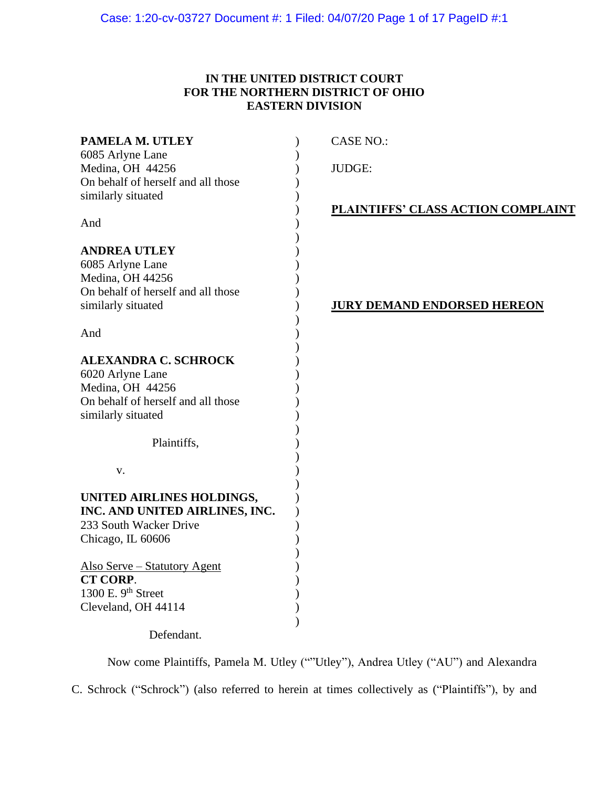# **IN THE UNITED DISTRICT COURT FOR THE NORTHERN DISTRICT OF OHIO EASTERN DIVISION**

| PAMELA M. UTLEY                      | <b>CASE NO.:</b>                          |
|--------------------------------------|-------------------------------------------|
| 6085 Arlyne Lane<br>Medina, OH 44256 | <b>JUDGE:</b>                             |
| On behalf of herself and all those   |                                           |
| similarly situated                   |                                           |
|                                      | <b>PLAINTIFFS' CLASS ACTION COMPLAINT</b> |
| And                                  |                                           |
| <b>ANDREA UTLEY</b>                  |                                           |
| 6085 Arlyne Lane                     |                                           |
| Medina, OH 44256                     |                                           |
| On behalf of herself and all those   |                                           |
| similarly situated                   | <u>JURY DEMAND ENDORSED HEREON</u>        |
| And                                  |                                           |
| <b>ALEXANDRA C. SCHROCK</b>          |                                           |
| 6020 Arlyne Lane                     |                                           |
| Medina, OH 44256                     |                                           |
| On behalf of herself and all those   |                                           |
| similarly situated                   |                                           |
| Plaintiffs,                          |                                           |
|                                      |                                           |
| V.                                   |                                           |
| UNITED AIRLINES HOLDINGS,            |                                           |
| INC. AND UNITED AIRLINES, INC.       |                                           |
| 233 South Wacker Drive               |                                           |
| Chicago, IL 60606                    |                                           |
| <b>Also Serve – Statutory Agent</b>  |                                           |
| CT CORP.                             |                                           |
| 1300 E. 9 <sup>th</sup> Street       |                                           |
| Cleveland, OH 44114                  |                                           |
| Defendant.                           |                                           |

Now come Plaintiffs, Pamela M. Utley (""Utley"), Andrea Utley ("AU") and Alexandra C. Schrock ("Schrock") (also referred to herein at times collectively as ("Plaintiffs"), by and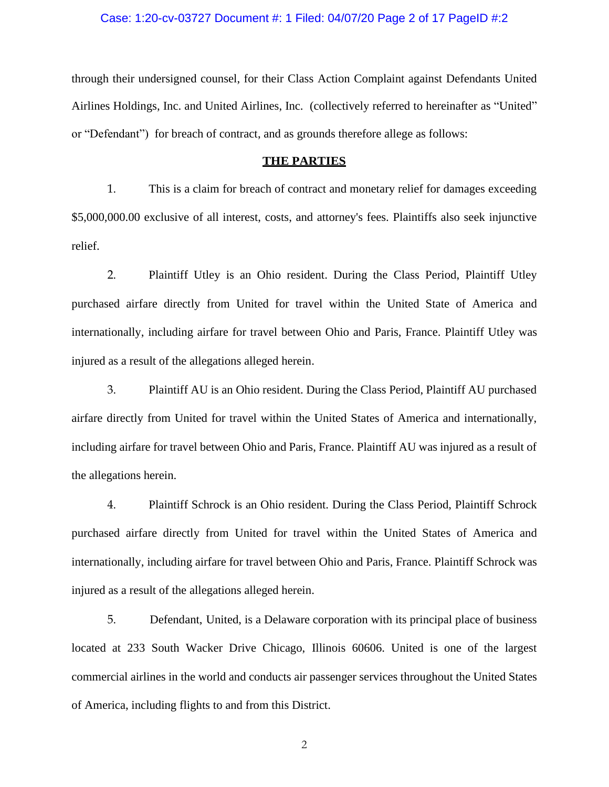### Case: 1:20-cv-03727 Document #: 1 Filed: 04/07/20 Page 2 of 17 PageID #:2

through their undersigned counsel, for their Class Action Complaint against Defendants United Airlines Holdings, Inc. and United Airlines, Inc. (collectively referred to hereinafter as "United" or "Defendant") for breach of contract, and as grounds therefore allege as follows:

## **THE PARTIES**

1. This is a claim for breach of contract and monetary relief for damages exceeding \$5,000,000.00 exclusive of all interest, costs, and attorney's fees. Plaintiffs also seek injunctive relief.

2. Plaintiff Utley is an Ohio resident. During the Class Period, Plaintiff Utley purchased airfare directly from United for travel within the United State of America and internationally, including airfare for travel between Ohio and Paris, France. Plaintiff Utley was injured as a result of the allegations alleged herein.

3. Plaintiff AU is an Ohio resident. During the Class Period, Plaintiff AU purchased airfare directly from United for travel within the United States of America and internationally, including airfare for travel between Ohio and Paris, France. Plaintiff AU was injured as a result of the allegations herein.

4. Plaintiff Schrock is an Ohio resident. During the Class Period, Plaintiff Schrock purchased airfare directly from United for travel within the United States of America and internationally, including airfare for travel between Ohio and Paris, France. Plaintiff Schrock was injured as a result of the allegations alleged herein.

5. Defendant, United, is a Delaware corporation with its principal place of business located at 233 South Wacker Drive Chicago, Illinois 60606. United is one of the largest commercial airlines in the world and conducts air passenger services throughout the United States of America, including flights to and from this District.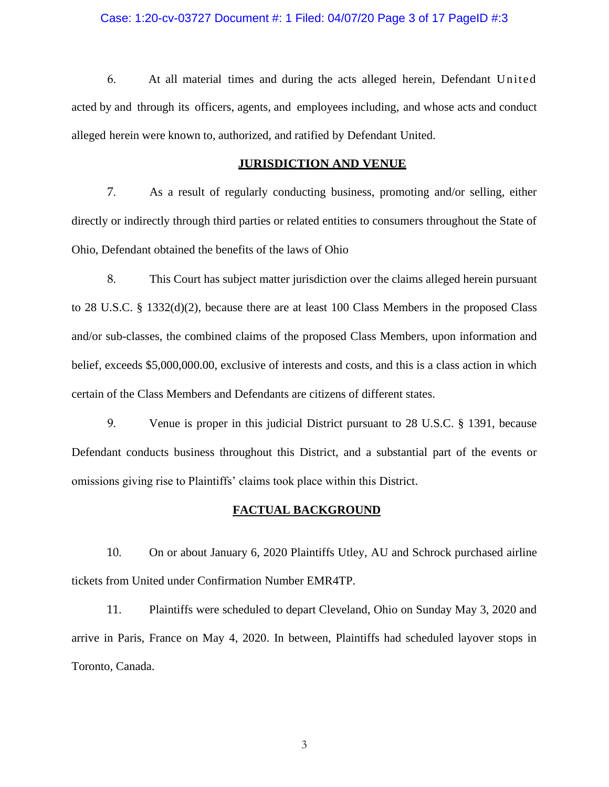## Case: 1:20-cv-03727 Document #: 1 Filed: 04/07/20 Page 3 of 17 PageID #:3

6. At all material times and during the acts alleged herein, Defendant United acted by and through its officers, agents, and employees including, and whose acts and conduct alleged herein were known to, authorized, and ratified by Defendant United.

# **JURISDICTION AND VENUE**

7. As a result of regularly conducting business, promoting and/or selling, either directly or indirectly through third parties or related entities to consumers throughout the State of Ohio, Defendant obtained the benefits of the laws of Ohio

8. This Court has subject matter jurisdiction over the claims alleged herein pursuant to 28 U.S.C. § 1332(d)(2), because there are at least 100 Class Members in the proposed Class and/or sub-classes, the combined claims of the proposed Class Members, upon information and belief, exceeds \$5,000,000.00, exclusive of interests and costs, and this is a class action in which certain of the Class Members and Defendants are citizens of different states.

9. Venue is proper in this judicial District pursuant to 28 U.S.C. § 1391, because Defendant conducts business throughout this District, and a substantial part of the events or omissions giving rise to Plaintiffs' claims took place within this District.

# **FACTUAL BACKGROUND**

10. On or about January 6, 2020 Plaintiffs Utley, AU and Schrock purchased airline tickets from United under Confirmation Number EMR4TP.

11. Plaintiffs were scheduled to depart Cleveland, Ohio on Sunday May 3, 2020 and arrive in Paris, France on May 4, 2020. In between, Plaintiffs had scheduled layover stops in Toronto, Canada.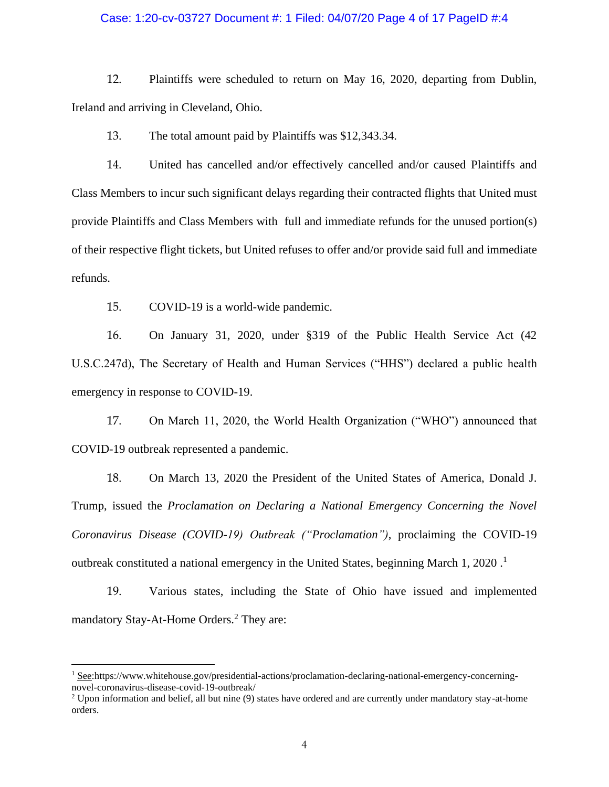## Case: 1:20-cv-03727 Document #: 1 Filed: 04/07/20 Page 4 of 17 PageID #:4

12. Plaintiffs were scheduled to return on May 16, 2020, departing from Dublin, Ireland and arriving in Cleveland, Ohio.

13. The total amount paid by Plaintiffs was \$12,343.34.

14. United has cancelled and/or effectively cancelled and/or caused Plaintiffs and Class Members to incur such significant delays regarding their contracted flights that United must provide Plaintiffs and Class Members with full and immediate refunds for the unused portion(s) of their respective flight tickets, but United refuses to offer and/or provide said full and immediate refunds.

15. COVID-19 is a world-wide pandemic.

16. On January 31, 2020, under §319 of the Public Health Service Act (42 U.S.C.247d), The Secretary of Health and Human Services ("HHS") declared a public health emergency in response to COVID-19.

17. On March 11, 2020, the World Health Organization ("WHO") announced that COVID-19 outbreak represented a pandemic.

18. On March 13, 2020 the President of the United States of America, Donald J. Trump, issued the *Proclamation on Declaring a National Emergency Concerning the Novel Coronavirus Disease (COVID-19) Outbreak ("Proclamation")*, proclaiming the COVID-19 outbreak constituted a national emergency in the United States, beginning March 1, 2020 . 1

19. Various states, including the State of Ohio have issued and implemented mandatory Stay-At-Home Orders.<sup>2</sup> They are:

 $1$  See:https://www.whitehouse.gov/presidential-actions/proclamation-declaring-national-emergency-concerningnovel-coronavirus-disease-covid-19-outbreak/

 $2$  Upon information and belief, all but nine (9) states have ordered and are currently under mandatory stay-at-home orders.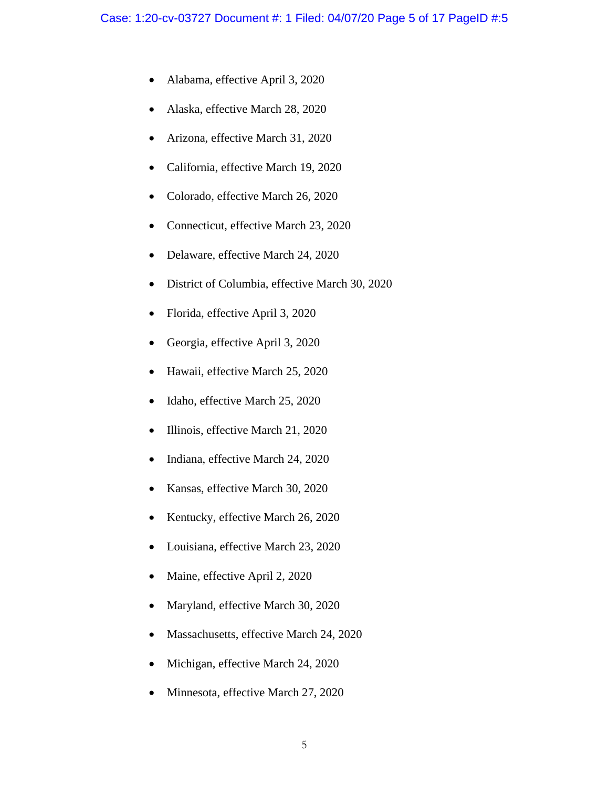- Alabama, effective April 3, 2020
- Alaska, effective March 28, 2020
- Arizona, effective March 31, 2020
- California, effective March 19, 2020
- Colorado, effective March 26, 2020
- Connecticut, effective March 23, 2020
- Delaware, effective March 24, 2020
- District of Columbia, effective March 30, 2020
- Florida, effective April 3, 2020
- Georgia, effective April 3, 2020
- Hawaii, effective March 25, 2020
- Idaho, effective March 25, 2020
- Illinois, effective March 21, 2020
- Indiana, effective March 24, 2020
- Kansas, effective March 30, 2020
- Kentucky, effective March 26, 2020
- Louisiana, effective March 23, 2020
- Maine, effective April 2, 2020
- Maryland, effective March 30, 2020
- Massachusetts, effective March 24, 2020
- Michigan, effective March 24, 2020
- Minnesota, effective March 27, 2020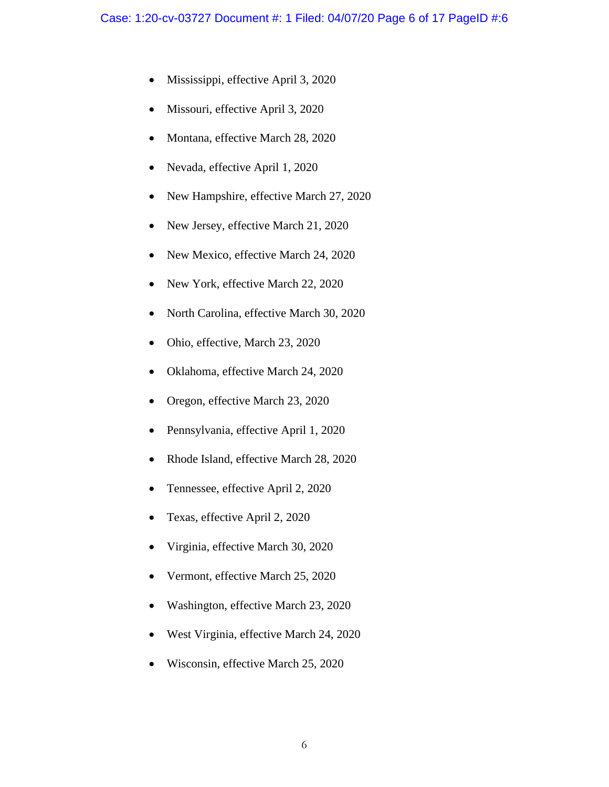- Mississippi, effective April 3, 2020
- Missouri, effective April 3, 2020
- Montana, effective March 28, 2020
- Nevada, effective April 1, 2020
- New Hampshire, effective March 27, 2020
- New Jersey, effective March 21, 2020
- New Mexico, effective March 24, 2020
- New York, effective March 22, 2020
- North Carolina, effective March 30, 2020
- Ohio, effective, March 23, 2020
- Oklahoma, effective March 24, 2020
- Oregon, effective March 23, 2020
- Pennsylvania, effective April 1, 2020
- Rhode Island, effective March 28, 2020
- Tennessee, effective April 2, 2020
- Texas, effective April 2, 2020
- Virginia, effective March 30, 2020
- Vermont, effective March 25, 2020
- Washington, effective March 23, 2020
- West Virginia, effective March 24, 2020
- Wisconsin, effective March 25, 2020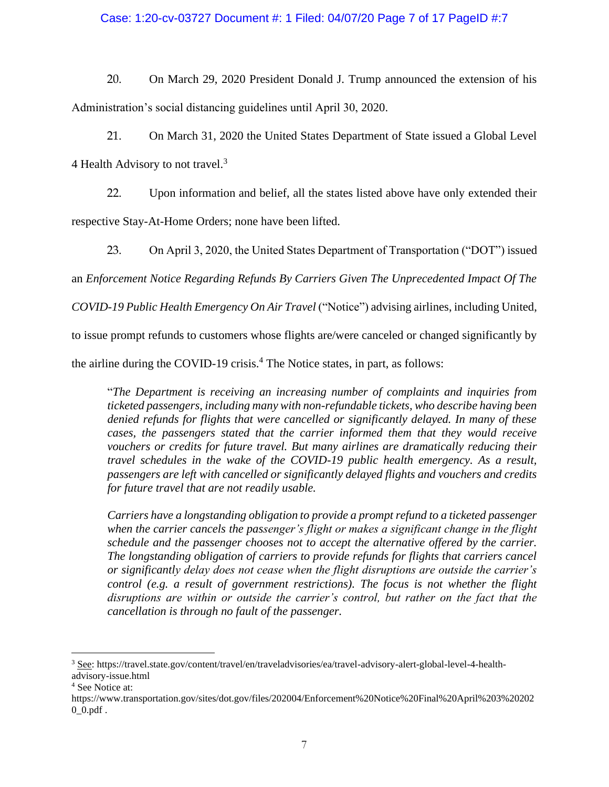# Case: 1:20-cv-03727 Document #: 1 Filed: 04/07/20 Page 7 of 17 PageID #:7

20. On March 29, 2020 President Donald J. Trump announced the extension of his Administration's social distancing guidelines until April 30, 2020.

21. On March 31, 2020 the United States Department of State issued a Global Level 4 Health Advisory to not travel.<sup>3</sup>

22. Upon information and belief, all the states listed above have only extended their respective Stay-At-Home Orders; none have been lifted.

23. On April 3, 2020, the United States Department of Transportation ("DOT") issued

an *Enforcement Notice Regarding Refunds By Carriers Given The Unprecedented Impact Of The* 

*COVID-19 Public Health Emergency On Air Travel* ("Notice") advising airlines, including United,

to issue prompt refunds to customers whose flights are/were canceled or changed significantly by

the airline during the COVID-19 crisis.<sup>4</sup> The Notice states, in part, as follows:

"*The Department is receiving an increasing number of complaints and inquiries from ticketed passengers, including many with non-refundable tickets, who describe having been denied refunds for flights that were cancelled or significantly delayed. In many of these cases, the passengers stated that the carrier informed them that they would receive vouchers or credits for future travel. But many airlines are dramatically reducing their travel schedules in the wake of the COVID-19 public health emergency. As a result, passengers are left with cancelled or significantly delayed flights and vouchers and credits for future travel that are not readily usable.*

*Carriers have a longstanding obligation to provide a prompt refund to a ticketed passenger when the carrier cancels the passenger's flight or makes a significant change in the flight schedule and the passenger chooses not to accept the alternative offered by the carrier. The longstanding obligation of carriers to provide refunds for flights that carriers cancel or significantly delay does not cease when the flight disruptions are outside the carrier's control (e.g. a result of government restrictions). The focus is not whether the flight disruptions are within or outside the carrier's control, but rather on the fact that the cancellation is through no fault of the passenger.*

<sup>3</sup> See: https://travel.state.gov/content/travel/en/traveladvisories/ea/travel-advisory-alert-global-level-4-healthadvisory-issue.html

<sup>4</sup> See Notice at:

https://www.transportation.gov/sites/dot.gov/files/202004/Enforcement%20Notice%20Final%20April%203%20202  $0_0$ .pdf.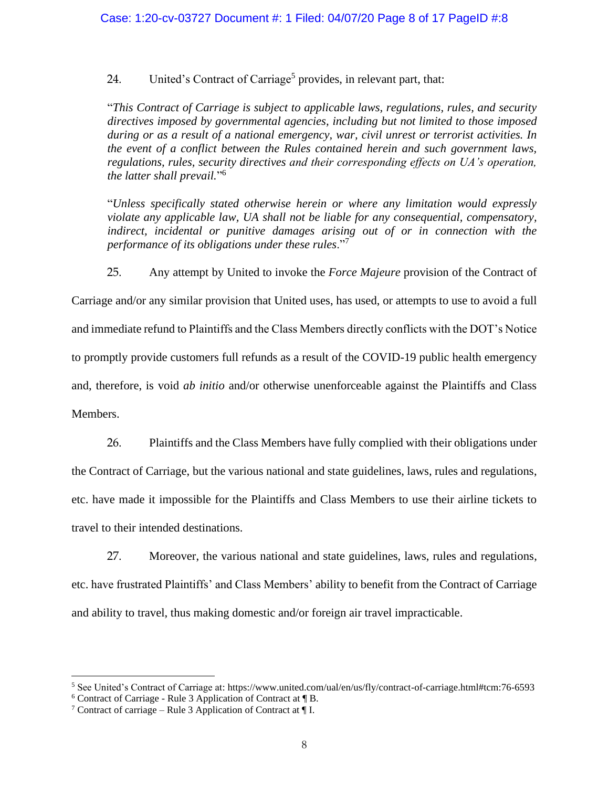24. United's Contract of Carriage<sup>5</sup> provides, in relevant part, that:

"*This Contract of Carriage is subject to applicable laws, regulations, rules, and security directives imposed by governmental agencies, including but not limited to those imposed during or as a result of a national emergency, war, civil unrest or terrorist activities. In the event of a conflict between the Rules contained herein and such government laws, regulations, rules, security directives and their corresponding effects on UA's operation, the latter shall prevail.*" 6

"*Unless specifically stated otherwise herein or where any limitation would expressly violate any applicable law, UA shall not be liable for any consequential, compensatory,*  indirect, incidental or punitive damages arising out of or in connection with the *performance of its obligations under these rules*."<sup>7</sup>

25. Any attempt by United to invoke the *Force Majeure* provision of the Contract of

Carriage and/or any similar provision that United uses, has used, or attempts to use to avoid a full and immediate refund to Plaintiffs and the Class Members directly conflicts with the DOT's Notice to promptly provide customers full refunds as a result of the COVID-19 public health emergency and, therefore, is void *ab initio* and/or otherwise unenforceable against the Plaintiffs and Class Members.

26. Plaintiffs and the Class Members have fully complied with their obligations under the Contract of Carriage, but the various national and state guidelines, laws, rules and regulations, etc. have made it impossible for the Plaintiffs and Class Members to use their airline tickets to travel to their intended destinations.

27. Moreover, the various national and state guidelines, laws, rules and regulations, etc. have frustrated Plaintiffs' and Class Members' ability to benefit from the Contract of Carriage and ability to travel, thus making domestic and/or foreign air travel impracticable.

<sup>5</sup> See United's Contract of Carriage at: https://www.united.com/ual/en/us/fly/contract-of-carriage.html#tcm:76-6593

 $6$  Contract of Carriage - Rule 3 Application of Contract at  $\P$  B.

<sup>&</sup>lt;sup>7</sup> Contract of carriage – Rule 3 Application of Contract at  $\P$  I.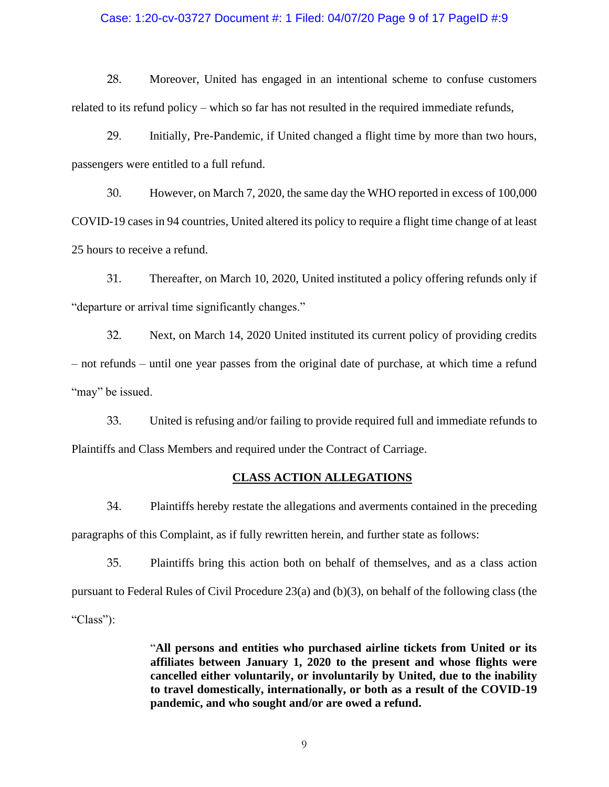## Case: 1:20-cv-03727 Document #: 1 Filed: 04/07/20 Page 9 of 17 PageID #:9

28. Moreover, United has engaged in an intentional scheme to confuse customers related to its refund policy – which so far has not resulted in the required immediate refunds,

29. Initially, Pre-Pandemic, if United changed a flight time by more than two hours, passengers were entitled to a full refund.

30. However, on March 7, 2020, the same day the WHO reported in excess of 100,000 COVID-19 cases in 94 countries, United altered its policy to require a flight time change of at least 25 hours to receive a refund.

31. Thereafter, on March 10, 2020, United instituted a policy offering refunds only if "departure or arrival time significantly changes."

32. Next, on March 14, 2020 United instituted its current policy of providing credits – not refunds – until one year passes from the original date of purchase, at which time a refund "may" be issued.

33. United is refusing and/or failing to provide required full and immediate refunds to Plaintiffs and Class Members and required under the Contract of Carriage.

# **CLASS ACTION ALLEGATIONS**

34. Plaintiffs hereby restate the allegations and averments contained in the preceding paragraphs of this Complaint, as if fully rewritten herein, and further state as follows:

35. Plaintiffs bring this action both on behalf of themselves, and as a class action pursuant to Federal Rules of Civil Procedure 23(a) and (b)(3), on behalf of the following class (the "Class"):

> "**All persons and entities who purchased airline tickets from United or its affiliates between January 1, 2020 to the present and whose flights were cancelled either voluntarily, or involuntarily by United, due to the inability to travel domestically, internationally, or both as a result of the COVID-19 pandemic, and who sought and/or are owed a refund.**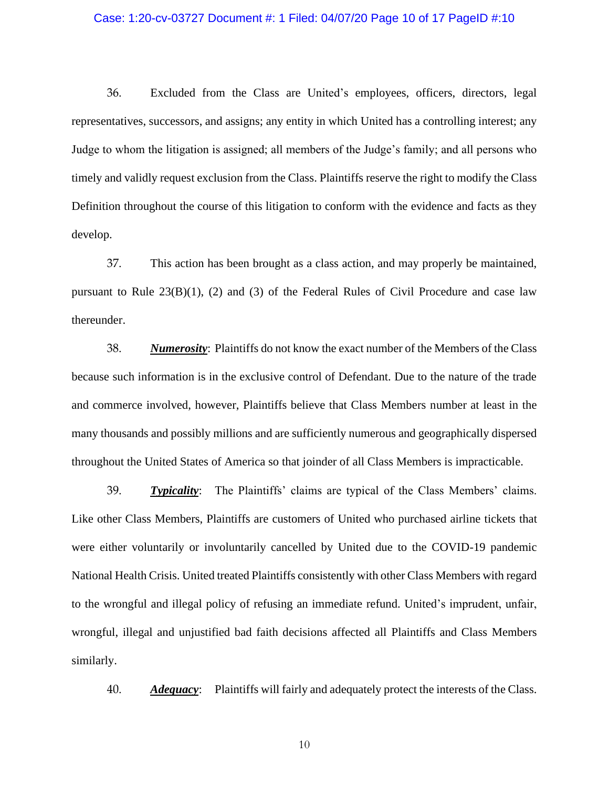### Case: 1:20-cv-03727 Document #: 1 Filed: 04/07/20 Page 10 of 17 PageID #:10

36. Excluded from the Class are United's employees, officers, directors, legal representatives, successors, and assigns; any entity in which United has a controlling interest; any Judge to whom the litigation is assigned; all members of the Judge's family; and all persons who timely and validly request exclusion from the Class. Plaintiffs reserve the right to modify the Class Definition throughout the course of this litigation to conform with the evidence and facts as they develop.

37. This action has been brought as a class action, and may properly be maintained, pursuant to Rule  $23(B)(1)$ , (2) and (3) of the Federal Rules of Civil Procedure and case law thereunder.

38. *Numerosity*: Plaintiffs do not know the exact number of the Members of the Class because such information is in the exclusive control of Defendant. Due to the nature of the trade and commerce involved, however, Plaintiffs believe that Class Members number at least in the many thousands and possibly millions and are sufficiently numerous and geographically dispersed throughout the United States of America so that joinder of all Class Members is impracticable.

39. *Typicality*: The Plaintiffs' claims are typical of the Class Members' claims. Like other Class Members, Plaintiffs are customers of United who purchased airline tickets that were either voluntarily or involuntarily cancelled by United due to the COVID-19 pandemic National Health Crisis. United treated Plaintiffs consistently with other Class Members with regard to the wrongful and illegal policy of refusing an immediate refund. United's imprudent, unfair, wrongful, illegal and unjustified bad faith decisions affected all Plaintiffs and Class Members similarly.

40. *Adequacy*: Plaintiffs will fairly and adequately protect the interests of the Class.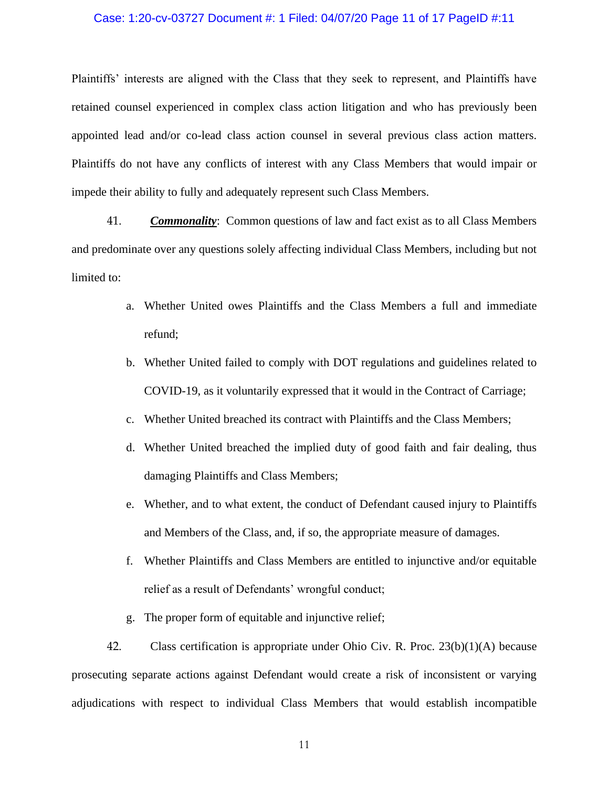## Case: 1:20-cv-03727 Document #: 1 Filed: 04/07/20 Page 11 of 17 PageID #:11

Plaintiffs' interests are aligned with the Class that they seek to represent, and Plaintiffs have retained counsel experienced in complex class action litigation and who has previously been appointed lead and/or co-lead class action counsel in several previous class action matters. Plaintiffs do not have any conflicts of interest with any Class Members that would impair or impede their ability to fully and adequately represent such Class Members.

41. *Commonality*: Common questions of law and fact exist as to all Class Members and predominate over any questions solely affecting individual Class Members, including but not limited to:

- a. Whether United owes Plaintiffs and the Class Members a full and immediate refund;
- b. Whether United failed to comply with DOT regulations and guidelines related to COVID-19, as it voluntarily expressed that it would in the Contract of Carriage;
- c. Whether United breached its contract with Plaintiffs and the Class Members;
- d. Whether United breached the implied duty of good faith and fair dealing, thus damaging Plaintiffs and Class Members;
- e. Whether, and to what extent, the conduct of Defendant caused injury to Plaintiffs and Members of the Class, and, if so, the appropriate measure of damages.
- f. Whether Plaintiffs and Class Members are entitled to injunctive and/or equitable relief as a result of Defendants' wrongful conduct;
- g. The proper form of equitable and injunctive relief;

42. Class certification is appropriate under Ohio Civ. R. Proc. 23(b)(1)(A) because prosecuting separate actions against Defendant would create a risk of inconsistent or varying adjudications with respect to individual Class Members that would establish incompatible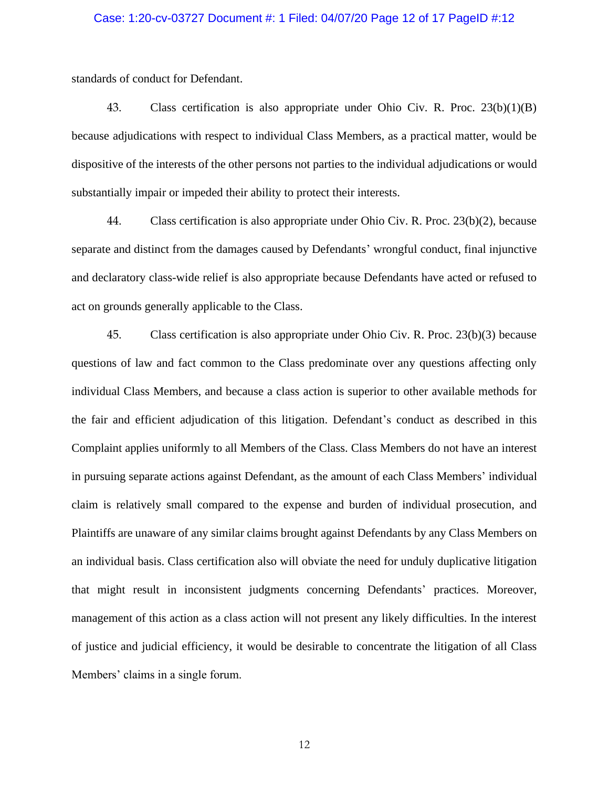### Case: 1:20-cv-03727 Document #: 1 Filed: 04/07/20 Page 12 of 17 PageID #:12

standards of conduct for Defendant.

43. Class certification is also appropriate under Ohio Civ. R. Proc. 23(b)(1)(B) because adjudications with respect to individual Class Members, as a practical matter, would be dispositive of the interests of the other persons not parties to the individual adjudications or would substantially impair or impeded their ability to protect their interests.

44. Class certification is also appropriate under Ohio Civ. R. Proc. 23(b)(2), because separate and distinct from the damages caused by Defendants' wrongful conduct, final injunctive and declaratory class-wide relief is also appropriate because Defendants have acted or refused to act on grounds generally applicable to the Class.

45. Class certification is also appropriate under Ohio Civ. R. Proc. 23(b)(3) because questions of law and fact common to the Class predominate over any questions affecting only individual Class Members, and because a class action is superior to other available methods for the fair and efficient adjudication of this litigation. Defendant's conduct as described in this Complaint applies uniformly to all Members of the Class. Class Members do not have an interest in pursuing separate actions against Defendant, as the amount of each Class Members' individual claim is relatively small compared to the expense and burden of individual prosecution, and Plaintiffs are unaware of any similar claims brought against Defendants by any Class Members on an individual basis. Class certification also will obviate the need for unduly duplicative litigation that might result in inconsistent judgments concerning Defendants' practices. Moreover, management of this action as a class action will not present any likely difficulties. In the interest of justice and judicial efficiency, it would be desirable to concentrate the litigation of all Class Members' claims in a single forum.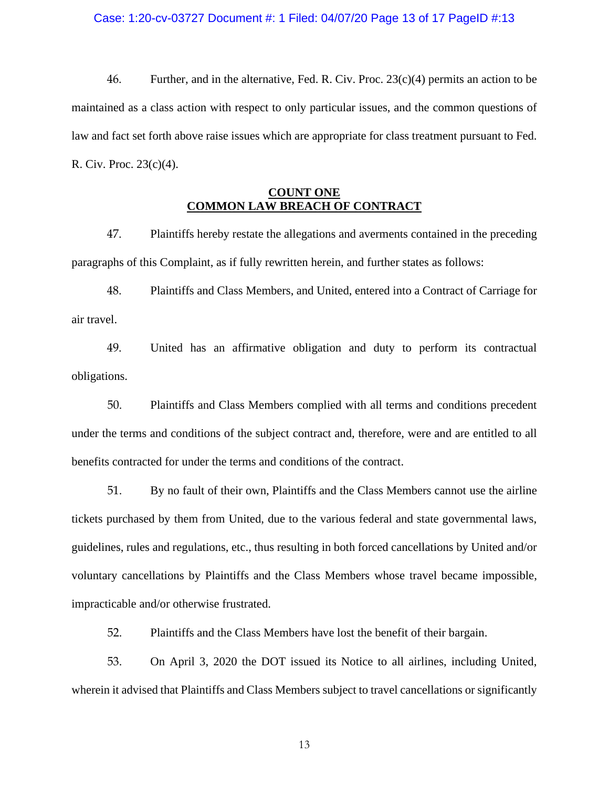### Case: 1:20-cv-03727 Document #: 1 Filed: 04/07/20 Page 13 of 17 PageID #:13

46. Further, and in the alternative, Fed. R. Civ. Proc. 23(c)(4) permits an action to be maintained as a class action with respect to only particular issues, and the common questions of law and fact set forth above raise issues which are appropriate for class treatment pursuant to Fed. R. Civ. Proc. 23(c)(4).

# **COUNT ONE COMMON LAW BREACH OF CONTRACT**

47. Plaintiffs hereby restate the allegations and averments contained in the preceding paragraphs of this Complaint, as if fully rewritten herein, and further states as follows:

48. Plaintiffs and Class Members, and United, entered into a Contract of Carriage for air travel.

49. United has an affirmative obligation and duty to perform its contractual obligations.

50. Plaintiffs and Class Members complied with all terms and conditions precedent under the terms and conditions of the subject contract and, therefore, were and are entitled to all benefits contracted for under the terms and conditions of the contract.

51. By no fault of their own, Plaintiffs and the Class Members cannot use the airline tickets purchased by them from United, due to the various federal and state governmental laws, guidelines, rules and regulations, etc., thus resulting in both forced cancellations by United and/or voluntary cancellations by Plaintiffs and the Class Members whose travel became impossible, impracticable and/or otherwise frustrated.

52. Plaintiffs and the Class Members have lost the benefit of their bargain.

53. On April 3, 2020 the DOT issued its Notice to all airlines, including United, wherein it advised that Plaintiffs and Class Members subject to travel cancellations or significantly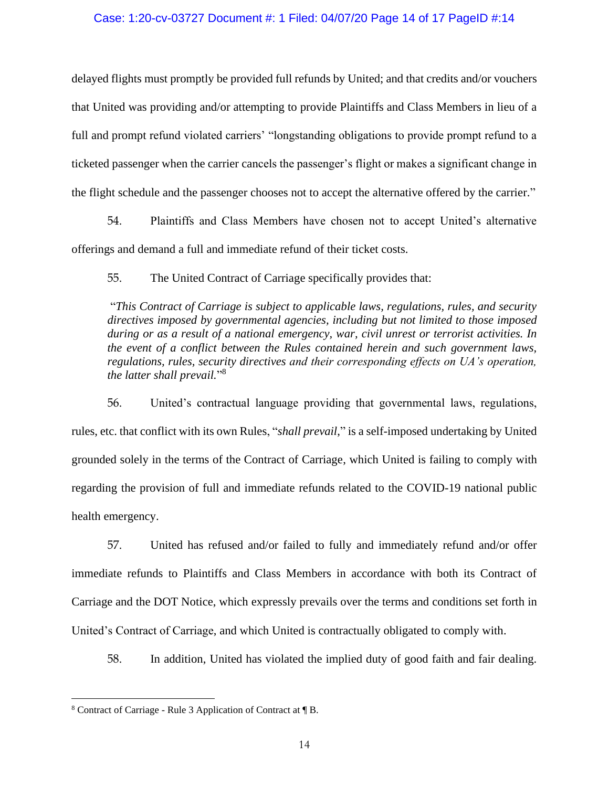## Case: 1:20-cv-03727 Document #: 1 Filed: 04/07/20 Page 14 of 17 PageID #:14

delayed flights must promptly be provided full refunds by United; and that credits and/or vouchers that United was providing and/or attempting to provide Plaintiffs and Class Members in lieu of a full and prompt refund violated carriers' "longstanding obligations to provide prompt refund to a ticketed passenger when the carrier cancels the passenger's flight or makes a significant change in the flight schedule and the passenger chooses not to accept the alternative offered by the carrier."

54. Plaintiffs and Class Members have chosen not to accept United's alternative offerings and demand a full and immediate refund of their ticket costs.

55. The United Contract of Carriage specifically provides that:

"*This Contract of Carriage is subject to applicable laws, regulations, rules, and security directives imposed by governmental agencies, including but not limited to those imposed during or as a result of a national emergency, war, civil unrest or terrorist activities. In the event of a conflict between the Rules contained herein and such government laws, regulations, rules, security directives and their corresponding effects on UA's operation, the latter shall prevail.*" 8

56. United's contractual language providing that governmental laws, regulations, rules, etc. that conflict with its own Rules, "*shall prevail*," is a self-imposed undertaking by United grounded solely in the terms of the Contract of Carriage, which United is failing to comply with regarding the provision of full and immediate refunds related to the COVID-19 national public health emergency.

57. United has refused and/or failed to fully and immediately refund and/or offer immediate refunds to Plaintiffs and Class Members in accordance with both its Contract of Carriage and the DOT Notice, which expressly prevails over the terms and conditions set forth in United's Contract of Carriage, and which United is contractually obligated to comply with.

58. In addition, United has violated the implied duty of good faith and fair dealing.

<sup>8</sup> Contract of Carriage - Rule 3 Application of Contract at ¶ B.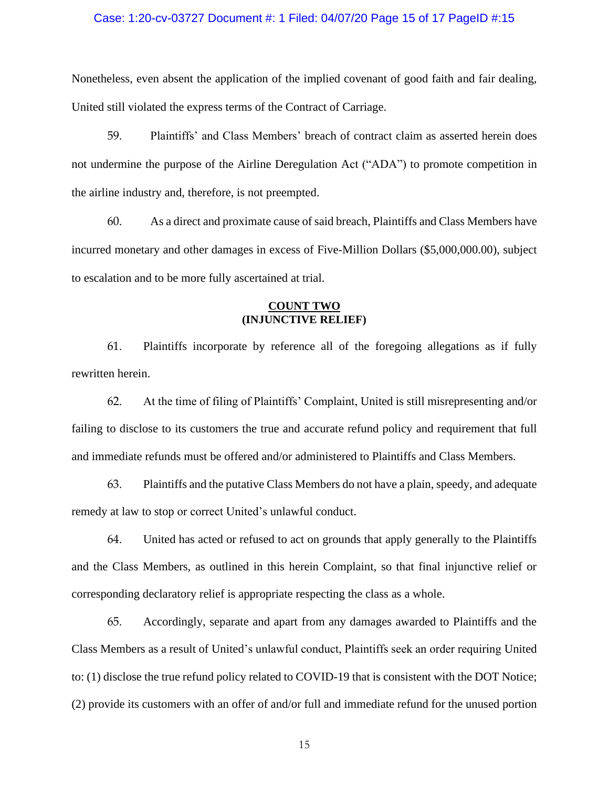### Case: 1:20-cv-03727 Document #: 1 Filed: 04/07/20 Page 15 of 17 PageID #:15

Nonetheless, even absent the application of the implied covenant of good faith and fair dealing, United still violated the express terms of the Contract of Carriage.

59. Plaintiffs' and Class Members' breach of contract claim as asserted herein does not undermine the purpose of the Airline Deregulation Act ("ADA") to promote competition in the airline industry and, therefore, is not preempted.

60. As a direct and proximate cause of said breach, Plaintiffs and Class Members have incurred monetary and other damages in excess of Five-Million Dollars (\$5,000,000.00), subject to escalation and to be more fully ascertained at trial.

# **COUNT TWO (INJUNCTIVE RELIEF)**

61. Plaintiffs incorporate by reference all of the foregoing allegations as if fully rewritten herein.

62. At the time of filing of Plaintiffs' Complaint, United is still misrepresenting and/or failing to disclose to its customers the true and accurate refund policy and requirement that full and immediate refunds must be offered and/or administered to Plaintiffs and Class Members.

63. Plaintiffs and the putative Class Members do not have a plain, speedy, and adequate remedy at law to stop or correct United's unlawful conduct.

64. United has acted or refused to act on grounds that apply generally to the Plaintiffs and the Class Members, as outlined in this herein Complaint, so that final injunctive relief or corresponding declaratory relief is appropriate respecting the class as a whole.

65. Accordingly, separate and apart from any damages awarded to Plaintiffs and the Class Members as a result of United's unlawful conduct, Plaintiffs seek an order requiring United to: (1) disclose the true refund policy related to COVID-19 that is consistent with the DOT Notice; (2) provide its customers with an offer of and/or full and immediate refund for the unused portion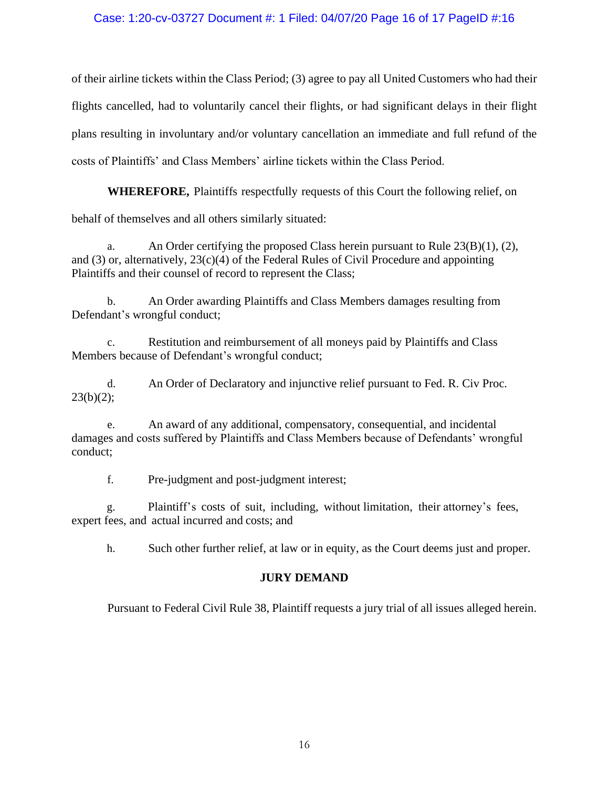# Case: 1:20-cv-03727 Document #: 1 Filed: 04/07/20 Page 16 of 17 PageID #:16

of their airline tickets within the Class Period; (3) agree to pay all United Customers who had their flights cancelled, had to voluntarily cancel their flights, or had significant delays in their flight plans resulting in involuntary and/or voluntary cancellation an immediate and full refund of the costs of Plaintiffs' and Class Members' airline tickets within the Class Period.

**WHEREFORE,** Plaintiffs respectfully requests of this Court the following relief, on

behalf of themselves and all others similarly situated:

a. An Order certifying the proposed Class herein pursuant to Rule  $23(B)(1)$ , (2), and  $(3)$  or, alternatively,  $23(c)(4)$  of the Federal Rules of Civil Procedure and appointing Plaintiffs and their counsel of record to represent the Class;

b. An Order awarding Plaintiffs and Class Members damages resulting from Defendant's wrongful conduct;

c. Restitution and reimbursement of all moneys paid by Plaintiffs and Class Members because of Defendant's wrongful conduct;

d. An Order of Declaratory and injunctive relief pursuant to Fed. R. Civ Proc.  $23(b)(2);$ 

e. An award of any additional, compensatory, consequential, and incidental damages and costs suffered by Plaintiffs and Class Members because of Defendants' wrongful conduct;

f. Pre-judgment and post-judgment interest;

g. Plaintiff's costs of suit, including, without limitation, their attorney's fees, expert fees, and actual incurred and costs; and

h. Such other further relief, at law or in equity, as the Court deems just and proper.

# **JURY DEMAND**

Pursuant to Federal Civil Rule 38, Plaintiff requests a jury trial of all issues alleged herein.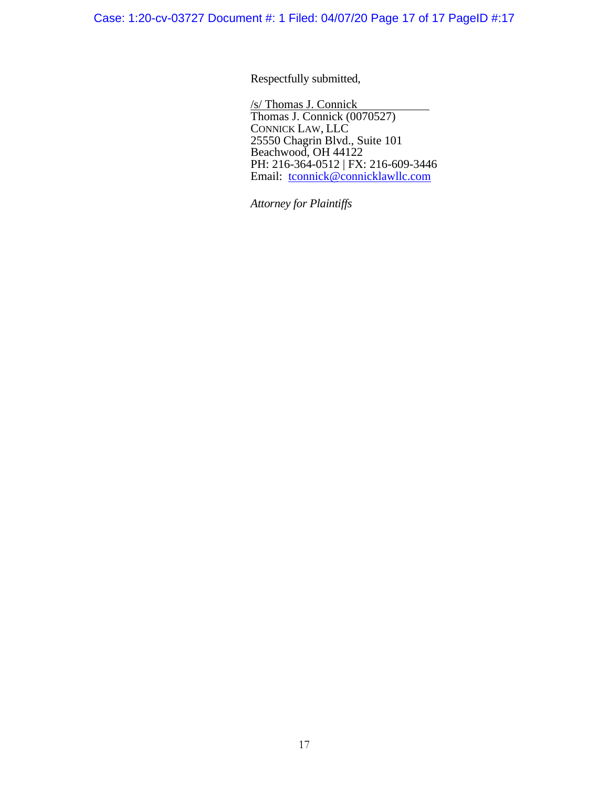Respectfully submitted,

/s/ Thomas J. Connick Thomas J. Connick (0070527) CONNICK LAW, LLC 25550 Chagrin Blvd., Suite 101 Beachwood, OH 44122 PH: 216-364-0512 | FX: 216-609-3446 Email: [tconnick@connicklawllc.com](mailto:tconnick@connicklawllc.com)

*Attorney for Plaintiffs*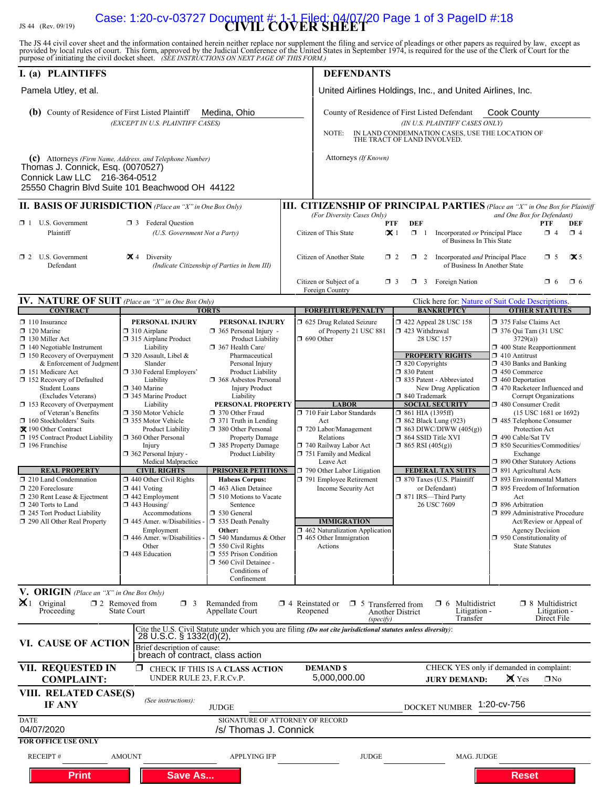# JS 44 (Rev. 09/19) **CIVIL COVER SHEET** Case: 1:20-cv-03727 Document #: 1-1 Filed: 04/07/20 Page 1 of 3 PageID #:18

The JS 44 civil cover sheet and the information contained herein neither replace nor supplement the filing and service of pleadings or other papers as required by law, except as provided by local rules of court. This form,

| I. (a) PLAINTIFFS                                                                                                                                                                                                                                                                                                                                                                                                                                                                                                                                                                                                                                         |                                                                                                                                                                                                                                                                                                                                                                                                                                                                                                                                                                                                                                                         |                                                                                                                                                                                                                                                                                                                                                                                                                                                                                                                                                                                                                                                                                                                     |                                                                                                                                                             | <b>DEFENDANTS</b>                                                                                                                                                                                                                                                                                                                                                                                      |                                                                                                                                                                                                                                                                                                                                                                                                                                                                                                        |                                                                                                                                                                                                                                                                                                                                                                                                                                                                                                                                                                                                                                                                                                                                                            |
|-----------------------------------------------------------------------------------------------------------------------------------------------------------------------------------------------------------------------------------------------------------------------------------------------------------------------------------------------------------------------------------------------------------------------------------------------------------------------------------------------------------------------------------------------------------------------------------------------------------------------------------------------------------|---------------------------------------------------------------------------------------------------------------------------------------------------------------------------------------------------------------------------------------------------------------------------------------------------------------------------------------------------------------------------------------------------------------------------------------------------------------------------------------------------------------------------------------------------------------------------------------------------------------------------------------------------------|---------------------------------------------------------------------------------------------------------------------------------------------------------------------------------------------------------------------------------------------------------------------------------------------------------------------------------------------------------------------------------------------------------------------------------------------------------------------------------------------------------------------------------------------------------------------------------------------------------------------------------------------------------------------------------------------------------------------|-------------------------------------------------------------------------------------------------------------------------------------------------------------|--------------------------------------------------------------------------------------------------------------------------------------------------------------------------------------------------------------------------------------------------------------------------------------------------------------------------------------------------------------------------------------------------------|--------------------------------------------------------------------------------------------------------------------------------------------------------------------------------------------------------------------------------------------------------------------------------------------------------------------------------------------------------------------------------------------------------------------------------------------------------------------------------------------------------|------------------------------------------------------------------------------------------------------------------------------------------------------------------------------------------------------------------------------------------------------------------------------------------------------------------------------------------------------------------------------------------------------------------------------------------------------------------------------------------------------------------------------------------------------------------------------------------------------------------------------------------------------------------------------------------------------------------------------------------------------------|
| Pamela Utley, et al.                                                                                                                                                                                                                                                                                                                                                                                                                                                                                                                                                                                                                                      |                                                                                                                                                                                                                                                                                                                                                                                                                                                                                                                                                                                                                                                         |                                                                                                                                                                                                                                                                                                                                                                                                                                                                                                                                                                                                                                                                                                                     |                                                                                                                                                             |                                                                                                                                                                                                                                                                                                                                                                                                        | United Airlines Holdings, Inc., and United Airlines, Inc.                                                                                                                                                                                                                                                                                                                                                                                                                                              |                                                                                                                                                                                                                                                                                                                                                                                                                                                                                                                                                                                                                                                                                                                                                            |
| <b>(b)</b> County of Residence of First Listed Plaintiff<br>Medina, Ohio<br>(EXCEPT IN U.S. PLAINTIFF CASES)                                                                                                                                                                                                                                                                                                                                                                                                                                                                                                                                              |                                                                                                                                                                                                                                                                                                                                                                                                                                                                                                                                                                                                                                                         |                                                                                                                                                                                                                                                                                                                                                                                                                                                                                                                                                                                                                                                                                                                     |                                                                                                                                                             | County of Residence of First Listed Defendant<br>(IN U.S. PLAINTIFF CASES ONLY)<br>IN LAND CONDEMNATION CASES, USE THE LOCATION OF THE TRACT OF LAND INVOLVED.<br>NOTE:                                                                                                                                                                                                                                |                                                                                                                                                                                                                                                                                                                                                                                                                                                                                                        | <b>Cook County</b>                                                                                                                                                                                                                                                                                                                                                                                                                                                                                                                                                                                                                                                                                                                                         |
| (c) Attorneys (Firm Name, Address, and Telephone Number)<br>Thomas J. Connick, Esq. (0070527)<br>Connick Law LLC 216-364-0512<br>25550 Chagrin Blvd Suite 101 Beachwood OH 44122                                                                                                                                                                                                                                                                                                                                                                                                                                                                          |                                                                                                                                                                                                                                                                                                                                                                                                                                                                                                                                                                                                                                                         |                                                                                                                                                                                                                                                                                                                                                                                                                                                                                                                                                                                                                                                                                                                     |                                                                                                                                                             | Attorneys (If Known)                                                                                                                                                                                                                                                                                                                                                                                   |                                                                                                                                                                                                                                                                                                                                                                                                                                                                                                        |                                                                                                                                                                                                                                                                                                                                                                                                                                                                                                                                                                                                                                                                                                                                                            |
| <b>II. BASIS OF JURISDICTION</b> (Place an "X" in One Box Only)                                                                                                                                                                                                                                                                                                                                                                                                                                                                                                                                                                                           |                                                                                                                                                                                                                                                                                                                                                                                                                                                                                                                                                                                                                                                         |                                                                                                                                                                                                                                                                                                                                                                                                                                                                                                                                                                                                                                                                                                                     |                                                                                                                                                             |                                                                                                                                                                                                                                                                                                                                                                                                        |                                                                                                                                                                                                                                                                                                                                                                                                                                                                                                        | <b>III. CITIZENSHIP OF PRINCIPAL PARTIES</b> (Place an "X" in One Box for Plaintiff                                                                                                                                                                                                                                                                                                                                                                                                                                                                                                                                                                                                                                                                        |
| $\Box$ 1 U.S. Government<br><b>1</b> 3 Federal Question<br>Plaintiff<br>(U.S. Government Not a Party)                                                                                                                                                                                                                                                                                                                                                                                                                                                                                                                                                     |                                                                                                                                                                                                                                                                                                                                                                                                                                                                                                                                                                                                                                                         |                                                                                                                                                                                                                                                                                                                                                                                                                                                                                                                                                                                                                                                                                                                     |                                                                                                                                                             | (For Diversity Cases Only)<br>Citizen of This State                                                                                                                                                                                                                                                                                                                                                    | <b>DEF</b><br>PTF<br>$\propto$ 1<br>$\Box$ 1<br>Incorporated or Principal Place<br>of Business In This State                                                                                                                                                                                                                                                                                                                                                                                           | and One Box for Defendant)<br><b>DEF</b><br>PTF<br>$\Box$ 4<br>$\Box$ 4                                                                                                                                                                                                                                                                                                                                                                                                                                                                                                                                                                                                                                                                                    |
| $\Box$ 2 U.S. Government<br>$\mathbf{X}$ 4 Diversity<br>(Indicate Citizenship of Parties in Item III)<br>Defendant                                                                                                                                                                                                                                                                                                                                                                                                                                                                                                                                        |                                                                                                                                                                                                                                                                                                                                                                                                                                                                                                                                                                                                                                                         |                                                                                                                                                                                                                                                                                                                                                                                                                                                                                                                                                                                                                                                                                                                     | $\mathbf{\times}$ 5<br>Citizen of Another State<br>$\Box$ 5<br>$\Box$ 2<br>$\Box$ 2 Incorporated <i>and</i> Principal Place<br>of Business In Another State |                                                                                                                                                                                                                                                                                                                                                                                                        |                                                                                                                                                                                                                                                                                                                                                                                                                                                                                                        |                                                                                                                                                                                                                                                                                                                                                                                                                                                                                                                                                                                                                                                                                                                                                            |
|                                                                                                                                                                                                                                                                                                                                                                                                                                                                                                                                                                                                                                                           |                                                                                                                                                                                                                                                                                                                                                                                                                                                                                                                                                                                                                                                         |                                                                                                                                                                                                                                                                                                                                                                                                                                                                                                                                                                                                                                                                                                                     |                                                                                                                                                             | Citizen or Subject of a<br>Foreign Country                                                                                                                                                                                                                                                                                                                                                             | $\Box$ 3 Foreign Nation<br>$\Box$ 3                                                                                                                                                                                                                                                                                                                                                                                                                                                                    | $\Box$ 6<br>$\Box$ 6                                                                                                                                                                                                                                                                                                                                                                                                                                                                                                                                                                                                                                                                                                                                       |
| IV. NATURE OF SUIT (Place an "X" in One Box Only)<br><b>CONTRACT</b>                                                                                                                                                                                                                                                                                                                                                                                                                                                                                                                                                                                      |                                                                                                                                                                                                                                                                                                                                                                                                                                                                                                                                                                                                                                                         | <b>TORTS</b>                                                                                                                                                                                                                                                                                                                                                                                                                                                                                                                                                                                                                                                                                                        |                                                                                                                                                             | <b>FORFEITURE/PENALTY</b>                                                                                                                                                                                                                                                                                                                                                                              | <b>BANKRUPTCY</b>                                                                                                                                                                                                                                                                                                                                                                                                                                                                                      | Click here for: Nature of Suit Code Descriptions.<br><b>OTHER STATUTES</b>                                                                                                                                                                                                                                                                                                                                                                                                                                                                                                                                                                                                                                                                                 |
| $\Box$ 110 Insurance<br>$\Box$ 120 Marine<br>$\Box$ 130 Miller Act<br>$\Box$ 140 Negotiable Instrument<br>$\Box$ 150 Recovery of Overpayment<br>& Enforcement of Judgment<br>□ 151 Medicare Act<br>152 Recovery of Defaulted<br><b>Student Loans</b><br>(Excludes Veterans)<br>153 Recovery of Overpayment<br>of Veteran's Benefits<br>$\Box$ 160 Stockholders' Suits<br>X 190 Other Contract<br>195 Contract Product Liability<br>$\Box$ 196 Franchise<br><b>REAL PROPERTY</b><br>$\Box$ 210 Land Condemnation<br>220 Foreclosure<br>$\Box$ 230 Rent Lease & Ejectment<br>240 Torts to Land<br>245 Tort Product Liability<br>290 All Other Real Property | PERSONAL INJURY<br>$\Box$ 310 Airplane<br>315 Airplane Product<br>Liability<br>$\Box$ 320 Assault, Libel &<br>Slander<br>□ 330 Federal Employers'<br>Liability<br>$\Box$ 340 Marine<br>345 Marine Product<br>Liability<br>□ 350 Motor Vehicle<br>□ 355 Motor Vehicle<br><b>Product Liability</b><br>360 Other Personal<br>Injury<br>$\Box$ 362 Personal Injury -<br>Medical Malpractice<br><b>CIVIL RIGHTS</b><br>$\Box$ 440 Other Civil Rights<br>$\Box$ 441 Voting<br>$\Box$ 442 Employment<br>$\Box$ 443 Housing/<br>Accommodations<br>$\Box$ 445 Amer. w/Disabilities<br>Employment<br>$\square$ 446 Amer. w/Disabilities<br>Other<br>448 Education | PERSONAL INJURY<br>$\Box$ 365 Personal Injury -<br>Product Liability<br>$\Box$ 367 Health Care/<br>Pharmaceutical<br>Personal Injury<br>Product Liability<br>□ 368 Asbestos Personal<br><b>Injury Product</b><br>Liability<br>PERSONAL PROPERTY<br>□ 370 Other Fraud<br>$\Box$ 371 Truth in Lending<br>380 Other Personal<br><b>Property Damage</b><br>385 Property Damage<br>Product Liability<br><b>PRISONER PETITIONS</b><br><b>Habeas Corpus:</b><br>□ 463 Alien Detainee<br>$\Box$ 510 Motions to Vacate<br>Sentence<br>□ 530 General<br>535 Death Penalty<br>Other:<br>$\Box$ 540 Mandamus & Other<br>$\Box$ 550 Civil Rights<br>555 Prison Condition<br>560 Civil Detainee -<br>Conditions of<br>Confinement | $\Box$ 690 Other                                                                                                                                            | □ 625 Drug Related Seizure<br>of Property 21 USC 881<br><b>LABOR</b><br>710 Fair Labor Standards<br>Act<br>720 Labor/Management<br>Relations<br>740 Railway Labor Act<br>751 Family and Medical<br>Leave Act<br>790 Other Labor Litigation<br>791 Employee Retirement<br>Income Security Act<br><b>IMMIGRATION</b><br>$\Box$ 462 Naturalization Application<br>$\Box$ 465 Other Immigration<br>Actions | 158 122 Appeal 28 USC 158<br>423 Withdrawal<br>28 USC 157<br><b>PROPERTY RIGHTS</b><br>$\Box$ 820 Copyrights<br>□ 830 Patent<br>335 Patent - Abbreviated<br>New Drug Application<br>□ 840 Trademark<br><b>SOCIAL SECURITY</b><br>$\Box$ 861 HIA (1395ff)<br><b>1 862 Black Lung (923)</b><br>$\Box$ 863 DIWC/DIWW (405(g))<br>$\Box$ 864 SSID Title XVI<br>$\Box$ 865 RSI (405(g))<br><b>FEDERAL TAX SUITS</b><br>□ 870 Taxes (U.S. Plaintiff<br>or Defendant)<br>□ 871 IRS-Third Party<br>26 USC 7609 | 375 False Claims Act<br>$\Box$ 376 Qui Tam (31 USC<br>3729(a)<br>1 400 State Reapportionment<br>$\Box$ 410 Antitrust<br>$\Box$ 430 Banks and Banking<br>$\Box$ 450 Commerce<br>$\Box$ 460 Deportation<br>□ 470 Racketeer Influenced and<br>Corrupt Organizations<br>480 Consumer Credit<br>$(15$ USC 1681 or 1692)<br>485 Telephone Consumer<br>Protection Act<br>□ 490 Cable/Sat TV<br>$\Box$ 850 Securities/Commodities/<br>Exchange<br>1 890 Other Statutory Actions<br>□ 891 Agricultural Acts<br>□ 893 Environmental Matters<br>$\Box$ 895 Freedom of Information<br>Act<br>$\Box$ 896 Arbitration<br>□ 899 Administrative Procedure<br>Act/Review or Appeal of<br><b>Agency Decision</b><br>$\Box$ 950 Constitutionality of<br><b>State Statutes</b> |
| V. ORIGIN (Place an "X" in One Box Only)<br>$\mathbf{X}$ 1 Original<br>Proceeding                                                                                                                                                                                                                                                                                                                                                                                                                                                                                                                                                                         | $\Box$ 2 Removed from<br>$\Box$ 3<br><b>State Court</b>                                                                                                                                                                                                                                                                                                                                                                                                                                                                                                                                                                                                 | Remanded from<br>Appellate Court                                                                                                                                                                                                                                                                                                                                                                                                                                                                                                                                                                                                                                                                                    | Reopened                                                                                                                                                    | $\Box$ 4 Reinstated or $\Box$ 5 Transferred from<br>(specify)                                                                                                                                                                                                                                                                                                                                          | Multidistrict<br>$\Box$ 6<br>Litigation -<br><b>Another District</b><br>Transfer                                                                                                                                                                                                                                                                                                                                                                                                                       | □ 8 Multidistrict<br>Litigation -<br>Direct File                                                                                                                                                                                                                                                                                                                                                                                                                                                                                                                                                                                                                                                                                                           |
| VI. CAUSE OF ACTION                                                                                                                                                                                                                                                                                                                                                                                                                                                                                                                                                                                                                                       | 28 U.S.C. § 1332(d)(2),<br>Brief description of cause:                                                                                                                                                                                                                                                                                                                                                                                                                                                                                                                                                                                                  | Cite the U.S. Civil Statute under which you are filing (Do not cite jurisdictional statutes unless diversity):                                                                                                                                                                                                                                                                                                                                                                                                                                                                                                                                                                                                      |                                                                                                                                                             |                                                                                                                                                                                                                                                                                                                                                                                                        |                                                                                                                                                                                                                                                                                                                                                                                                                                                                                                        |                                                                                                                                                                                                                                                                                                                                                                                                                                                                                                                                                                                                                                                                                                                                                            |
| <b>VII. REQUESTED IN</b><br><b>COMPLAINT:</b>                                                                                                                                                                                                                                                                                                                                                                                                                                                                                                                                                                                                             | breach of contract, class action<br>0.<br>UNDER RULE 23, F.R.Cv.P.                                                                                                                                                                                                                                                                                                                                                                                                                                                                                                                                                                                      | CHECK IF THIS IS A CLASS ACTION                                                                                                                                                                                                                                                                                                                                                                                                                                                                                                                                                                                                                                                                                     |                                                                                                                                                             | <b>DEMAND \$</b><br>5,000,000.00                                                                                                                                                                                                                                                                                                                                                                       | <b>JURY DEMAND:</b>                                                                                                                                                                                                                                                                                                                                                                                                                                                                                    | CHECK YES only if demanded in complaint:<br>$\mathbf{\mathsf{X}}$ Yes<br>$\Box$ No                                                                                                                                                                                                                                                                                                                                                                                                                                                                                                                                                                                                                                                                         |
| VIII. RELATED CASE(S)<br>IF ANY                                                                                                                                                                                                                                                                                                                                                                                                                                                                                                                                                                                                                           | (See instructions):                                                                                                                                                                                                                                                                                                                                                                                                                                                                                                                                                                                                                                     | <b>JUDGE</b>                                                                                                                                                                                                                                                                                                                                                                                                                                                                                                                                                                                                                                                                                                        |                                                                                                                                                             |                                                                                                                                                                                                                                                                                                                                                                                                        | <b>DOCKET NUMBER</b>                                                                                                                                                                                                                                                                                                                                                                                                                                                                                   | 1:20-cv-756                                                                                                                                                                                                                                                                                                                                                                                                                                                                                                                                                                                                                                                                                                                                                |
| <b>DATE</b><br>04/07/2020<br><b>FOR OFFICE USE ONLY</b>                                                                                                                                                                                                                                                                                                                                                                                                                                                                                                                                                                                                   |                                                                                                                                                                                                                                                                                                                                                                                                                                                                                                                                                                                                                                                         | SIGNATURE OF ATTORNEY OF RECORD<br>/s/ Thomas J. Connick                                                                                                                                                                                                                                                                                                                                                                                                                                                                                                                                                                                                                                                            |                                                                                                                                                             |                                                                                                                                                                                                                                                                                                                                                                                                        |                                                                                                                                                                                                                                                                                                                                                                                                                                                                                                        |                                                                                                                                                                                                                                                                                                                                                                                                                                                                                                                                                                                                                                                                                                                                                            |
| <b>RECEIPT#</b><br><b>Print</b>                                                                                                                                                                                                                                                                                                                                                                                                                                                                                                                                                                                                                           | <b>AMOUNT</b><br><b>Save As</b>                                                                                                                                                                                                                                                                                                                                                                                                                                                                                                                                                                                                                         | <b>APPLYING IFP</b>                                                                                                                                                                                                                                                                                                                                                                                                                                                                                                                                                                                                                                                                                                 |                                                                                                                                                             | <b>JUDGE</b>                                                                                                                                                                                                                                                                                                                                                                                           | MAG. JUDGE                                                                                                                                                                                                                                                                                                                                                                                                                                                                                             | <b>Reset</b>                                                                                                                                                                                                                                                                                                                                                                                                                                                                                                                                                                                                                                                                                                                                               |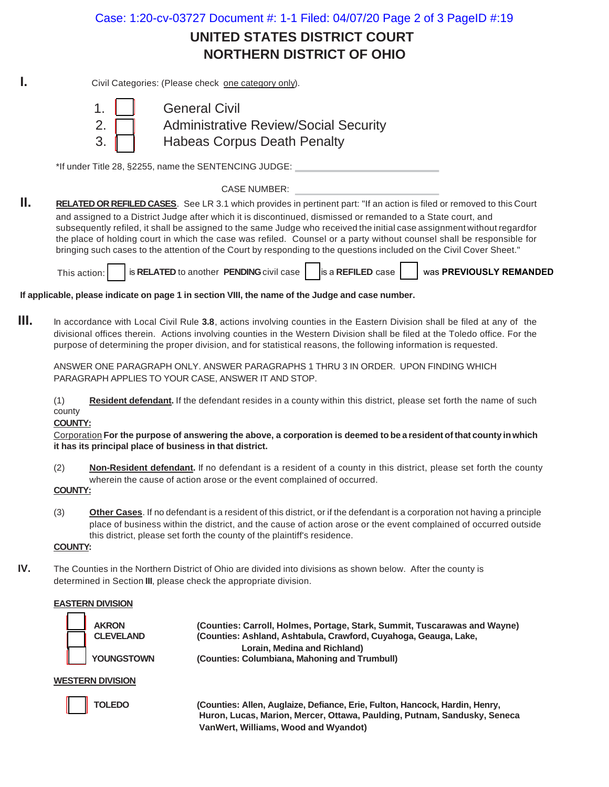Case: 1:20-cv-03727 Document #: 1-1 Filed: 04/07/20 Page 2 of 3 PageID #:19

# **UNITED STATES DISTRICT COURT NORTHERN DISTRICT OF OHIO**

**I.** Civil Categories: (Please check one category only).



1. General Civil 2. **Administrative Review/Social Security** 3. **Habeas Corpus Death Penalty** 

\*If under Title 28, §2255, name the SENTENCING JUDGE:

CASE NUMBER:

**II. RELATED OR REFILED CASES**. See LR 3.1 which provides in pertinent part: "If an action is filed or removed to this Court and assigned to a District Judge after which it is discontinued, dismissed or remanded to a State court, and subsequently refiled, it shall be assigned to the same Judge who received the initial case assignment without regardfor the place of holding court in which the case was refiled. Counsel or a party without counsel shall be responsible for bringing such cases to the attention of the Court by responding to the questions included on the Civil Cover Sheet."

This action: is **RELATED** to another **PENDING** civil case is a **REFILED** case was **PREVIOUSLY REMANDED**

**If applicable, please indicate on page 1 in section VIII, the name of the Judge and case number.**

**III.** In accordance with Local Civil Rule **3.8**, actions involving counties in the Eastern Division shall be filed at any of the divisional offices therein. Actions involving counties in the Western Division shall be filed at the Toledo office. For the purpose of determining the proper division, and for statistical reasons, the following information is requested.

ANSWER ONE PARAGRAPH ONLY. ANSWER PARAGRAPHS 1 THRU 3 IN ORDER. UPON FINDING WHICH PARAGRAPH APPLIES TO YOUR CASE, ANSWER IT AND STOP.

(1) **Resident defendant.** If the defendant resides in a county within this district, please set forth the name of such county

**COUNTY:**

Corporation **For the purpose of answering the above, a corporation is deemed to be a resident of that county in which it has its principal place of business in that district.**

- (2) **Non-Resident defendant.** If no defendant is a resident of a county in this district, please set forth the county wherein the cause of action arose or the event complained of occurred.
- **COUNTY:**
- (3) **Other Cases**. If no defendant is a resident of this district, or if the defendant is a corporation not having a principle place of business within the district, and the cause of action arose or the event complained of occurred outside this district, please set forth the county of the plaintiff's residence.

# **COUNTY:**

**IV.** The Counties in the Northern District of Ohio are divided into divisions as shown below. After the county is determined in Section **III**, please check the appropriate division.

# **EASTERN DIVISION**

| <b>AKRON</b><br><b>CLEVELAND</b> |
|----------------------------------|
| YOUNGSTOV                        |

 **AKRON (Counties: Carroll, Holmes, Portage, Stark, Summit, Tuscarawas and Wayne)** (Counties: Ashland, Ashtabula, Crawford, Cuyahoga, Geauga, Lake, **Lorain, Medina and Richland) YN** (Counties: Columbiana, Mahoning and Trumbull)

# **WESTERN DIVISION**



 **TOLEDO (Counties: Allen, Auglaize, Defiance, Erie, Fulton, Hancock, Hardin, Henry, Huron, Lucas, Marion, Mercer, Ottawa, Paulding, Putnam, Sandusky, Seneca VanWert, Williams, Wood and Wyandot)**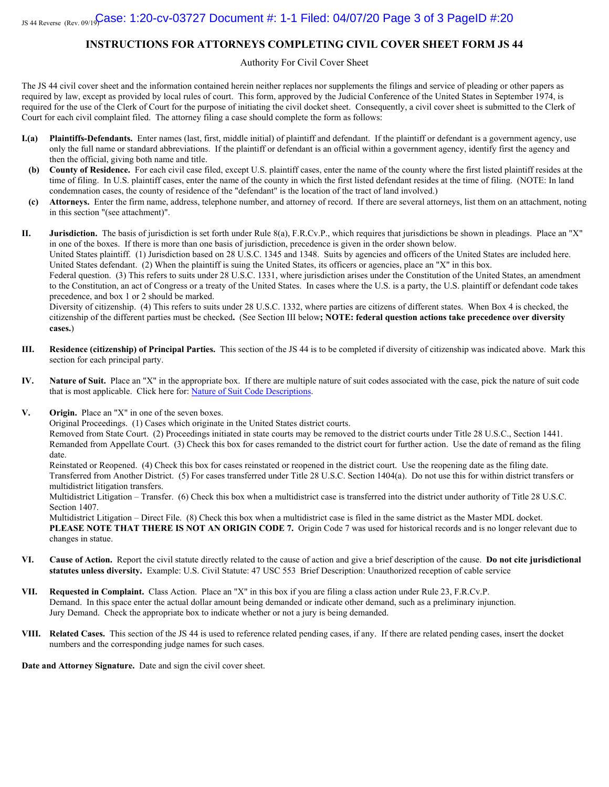#### **INSTRUCTIONS FOR ATTORNEYS COMPLETING CIVIL COVER SHEET FORM JS 44**

Authority For Civil Cover Sheet

The JS 44 civil cover sheet and the information contained herein neither replaces nor supplements the filings and service of pleading or other papers as required by law, except as provided by local rules of court. This form, approved by the Judicial Conference of the United States in September 1974, is required for the use of the Clerk of Court for the purpose of initiating the civil docket sheet. Consequently, a civil cover sheet is submitted to the Clerk of Court for each civil complaint filed. The attorney filing a case should complete the form as follows:

- **I.(a) Plaintiffs-Defendants.** Enter names (last, first, middle initial) of plaintiff and defendant. If the plaintiff or defendant is a government agency, use only the full name or standard abbreviations. If the plaintiff or defendant is an official within a government agency, identify first the agency and then the official, giving both name and title.
- **(b) County of Residence.** For each civil case filed, except U.S. plaintiff cases, enter the name of the county where the first listed plaintiff resides at the time of filing. In U.S. plaintiff cases, enter the name of the county in which the first listed defendant resides at the time of filing. (NOTE: In land condemnation cases, the county of residence of the "defendant" is the location of the tract of land involved.)
- **(c) Attorneys.** Enter the firm name, address, telephone number, and attorney of record. If there are several attorneys, list them on an attachment, noting in this section "(see attachment)".

**II. Jurisdiction.** The basis of jurisdiction is set forth under Rule 8(a), F.R.Cv.P., which requires that jurisdictions be shown in pleadings. Place an "X" in one of the boxes. If there is more than one basis of jurisdiction, precedence is given in the order shown below.

United States plaintiff. (1) Jurisdiction based on 28 U.S.C. 1345 and 1348. Suits by agencies and officers of the United States are included here. United States defendant. (2) When the plaintiff is suing the United States, its officers or agencies, place an "X" in this box.

Federal question. (3) This refers to suits under 28 U.S.C. 1331, where jurisdiction arises under the Constitution of the United States, an amendment to the Constitution, an act of Congress or a treaty of the United States. In cases where the U.S. is a party, the U.S. plaintiff or defendant code takes precedence, and box 1 or 2 should be marked.

Diversity of citizenship. (4) This refers to suits under 28 U.S.C. 1332, where parties are citizens of different states. When Box 4 is checked, the citizenship of the different parties must be checked**.** (See Section III below**; NOTE: federal question actions take precedence over diversity cases.**)

- **III. Residence (citizenship) of Principal Parties.** This section of the JS 44 is to be completed if diversity of citizenship was indicated above. Mark this section for each principal party.
- **IV. Nature of Suit.** Place an "X" in the appropriate box. If there are multiple nature of suit codes associated with the case, pick the nature of suit code that is most applicable. Click here for[: Nature of Suit Code Descriptions](http://www.uscourts.gov/forms/civil-forms/civil-cover-sheet).
- **V. Origin.** Place an "X" in one of the seven boxes.

Original Proceedings. (1) Cases which originate in the United States district courts.

Removed from State Court. (2) Proceedings initiated in state courts may be removed to the district courts under Title 28 U.S.C., Section 1441. Remanded from Appellate Court. (3) Check this box for cases remanded to the district court for further action. Use the date of remand as the filing date.

Reinstated or Reopened. (4) Check this box for cases reinstated or reopened in the district court. Use the reopening date as the filing date. Transferred from Another District. (5) For cases transferred under Title 28 U.S.C. Section 1404(a). Do not use this for within district transfers or multidistrict litigation transfers.

Multidistrict Litigation – Transfer. (6) Check this box when a multidistrict case is transferred into the district under authority of Title 28 U.S.C. Section 1407.

Multidistrict Litigation – Direct File. (8) Check this box when a multidistrict case is filed in the same district as the Master MDL docket. **PLEASE NOTE THAT THERE IS NOT AN ORIGIN CODE 7.** Origin Code 7 was used for historical records and is no longer relevant due to changes in statue.

- **VI. Cause of Action.** Report the civil statute directly related to the cause of action and give a brief description of the cause. **Do not cite jurisdictional statutes unless diversity.** Example: U.S. Civil Statute: 47 USC 553 Brief Description: Unauthorized reception of cable service
- **VII. Requested in Complaint.** Class Action. Place an "X" in this box if you are filing a class action under Rule 23, F.R.Cv.P. Demand. In this space enter the actual dollar amount being demanded or indicate other demand, such as a preliminary injunction. Jury Demand. Check the appropriate box to indicate whether or not a jury is being demanded.
- **VIII. Related Cases.** This section of the JS 44 is used to reference related pending cases, if any. If there are related pending cases, insert the docket numbers and the corresponding judge names for such cases.

**Date and Attorney Signature.** Date and sign the civil cover sheet.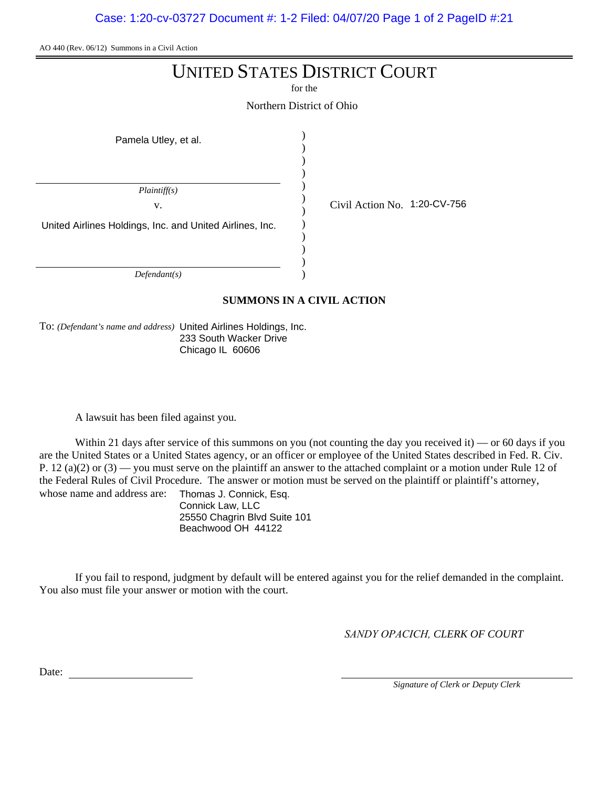Case: 1:20-cv-03727 Document #: 1-2 Filed: 04/07/20 Page 1 of 2 PageID #:21

AO 440 (Rev. 06/12) Summons in a Civil Action

# UNITED STATES DISTRICT COURT

for the

Northern District of Ohio

| Pamela Utley, et al.                                                           |                              |
|--------------------------------------------------------------------------------|------------------------------|
| Plaintiff(s)<br>v.<br>United Airlines Holdings, Inc. and United Airlines, Inc. | Civil Action No. 1:20-CV-756 |
|                                                                                |                              |

*Defendant(s)*

**SUMMONS IN A CIVIL ACTION**

)

To: *(Defendant's name and address)* United Airlines Holdings, Inc. 233 South Wacker Drive Chicago IL 60606

A lawsuit has been filed against you.

Within 21 days after service of this summons on you (not counting the day you received it) — or 60 days if you are the United States or a United States agency, or an officer or employee of the United States described in Fed. R. Civ. P. 12 (a)(2) or  $(3)$  — you must serve on the plaintiff an answer to the attached complaint or a motion under Rule 12 of the Federal Rules of Civil Procedure. The answer or motion must be served on the plaintiff or plaintiff's attorney, whose name and address are: Thomas J. Connick, Esq.

Connick Law, LLC 25550 Chagrin Blvd Suite 101 Beachwood OH 44122

If you fail to respond, judgment by default will be entered against you for the relief demanded in the complaint. You also must file your answer or motion with the court.

*SANDY OPACICH, CLERK OF COURT*

Date:

*Signature of Clerk or Deputy Clerk*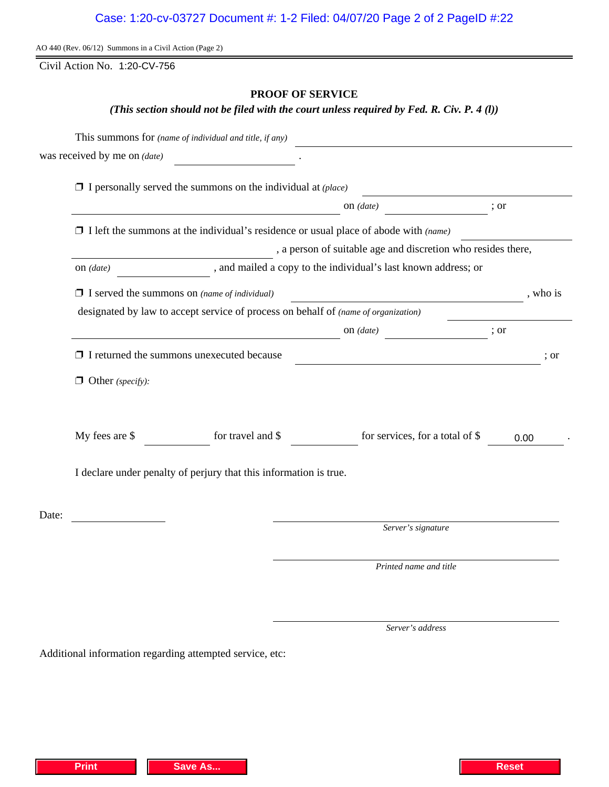# Case: 1:20-cv-03727 Document #: 1-2 Filed: 04/07/20 Page 2 of 2 PageID #:22

AO 440 (Rev. 06/12) Summons in a Civil Action (Page 2)

Civil Action No. 1:20-CV-756

# **PROOF OF SERVICE**

*(This section should not be filed with the court unless required by Fed. R. Civ. P. 4 (l))*

|       |                                                                                             | This summons for (name of individual and title, if any)             |                                                                                                                        |      |  |  |
|-------|---------------------------------------------------------------------------------------------|---------------------------------------------------------------------|------------------------------------------------------------------------------------------------------------------------|------|--|--|
|       | was received by me on (date)                                                                |                                                                     |                                                                                                                        |      |  |  |
|       |                                                                                             | $\Box$ I personally served the summons on the individual at (place) |                                                                                                                        |      |  |  |
|       | $\frac{1}{\sqrt{1-\frac{1}{2}}\cdot\frac{1}{\sqrt{1-\frac{1}{2}}}}$<br>; or                 |                                                                     |                                                                                                                        |      |  |  |
|       | $\Box$ I left the summons at the individual's residence or usual place of abode with (name) |                                                                     |                                                                                                                        |      |  |  |
|       | , a person of suitable age and discretion who resides there,                                |                                                                     |                                                                                                                        |      |  |  |
|       |                                                                                             |                                                                     |                                                                                                                        |      |  |  |
|       | $\Box$ I served the summons on (name of individual)                                         |                                                                     | , who is                                                                                                               |      |  |  |
|       |                                                                                             |                                                                     | designated by law to accept service of process on behalf of (name of organization)                                     |      |  |  |
|       | on $(date)$ ; or                                                                            |                                                                     |                                                                                                                        |      |  |  |
|       |                                                                                             | $\Box$ I returned the summons unexecuted because                    | <u> 1989 - Johann Stoff, deutscher Stoffen und der Stoffen und der Stoffen und der Stoffen und der Stoffen und der</u> | : or |  |  |
|       | $\Box$ Other (specify):                                                                     |                                                                     |                                                                                                                        |      |  |  |
|       | My fees are \$                                                                              | for travel and \$                                                   | for services, for a total of \$                                                                                        | 0.00 |  |  |
|       | I declare under penalty of perjury that this information is true.                           |                                                                     |                                                                                                                        |      |  |  |
| Date: |                                                                                             |                                                                     |                                                                                                                        |      |  |  |
|       |                                                                                             |                                                                     | Server's signature                                                                                                     |      |  |  |
|       |                                                                                             |                                                                     | Printed name and title                                                                                                 |      |  |  |
|       |                                                                                             |                                                                     |                                                                                                                        |      |  |  |

Additional information regarding attempted service, etc:

*Server's address*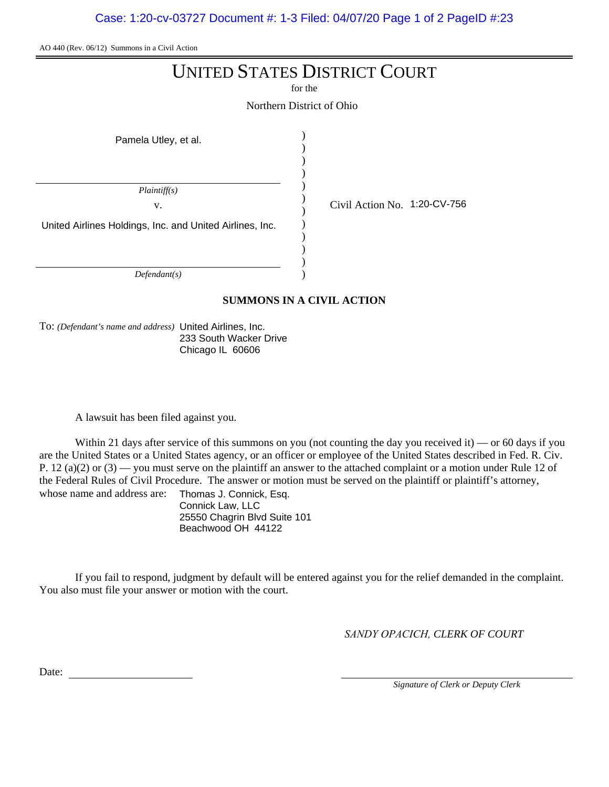Case: 1:20-cv-03727 Document #: 1-3 Filed: 04/07/20 Page 1 of 2 PageID #:23

AO 440 (Rev. 06/12) Summons in a Civil Action

# UNITED STATES DISTRICT COURT

for the

Northern District of Ohio

| Pamela Utley, et al.                                                           |                              |
|--------------------------------------------------------------------------------|------------------------------|
| Plaintiff(s)<br>v.<br>United Airlines Holdings, Inc. and United Airlines, Inc. | Civil Action No. 1:20-CV-756 |
|                                                                                |                              |

*Defendant(s)*

**SUMMONS IN A CIVIL ACTION**

)

To: *(Defendant's name and address)* United Airlines, Inc. 233 South Wacker Drive Chicago IL 60606

A lawsuit has been filed against you.

Within 21 days after service of this summons on you (not counting the day you received it) — or 60 days if you are the United States or a United States agency, or an officer or employee of the United States described in Fed. R. Civ. P. 12 (a)(2) or  $(3)$  — you must serve on the plaintiff an answer to the attached complaint or a motion under Rule 12 of the Federal Rules of Civil Procedure. The answer or motion must be served on the plaintiff or plaintiff's attorney, whose name and address are: Thomas J. Connick, Esq.

Connick Law, LLC 25550 Chagrin Blvd Suite 101 Beachwood OH 44122

If you fail to respond, judgment by default will be entered against you for the relief demanded in the complaint. You also must file your answer or motion with the court.

*SANDY OPACICH, CLERK OF COURT*

Date:

*Signature of Clerk or Deputy Clerk*